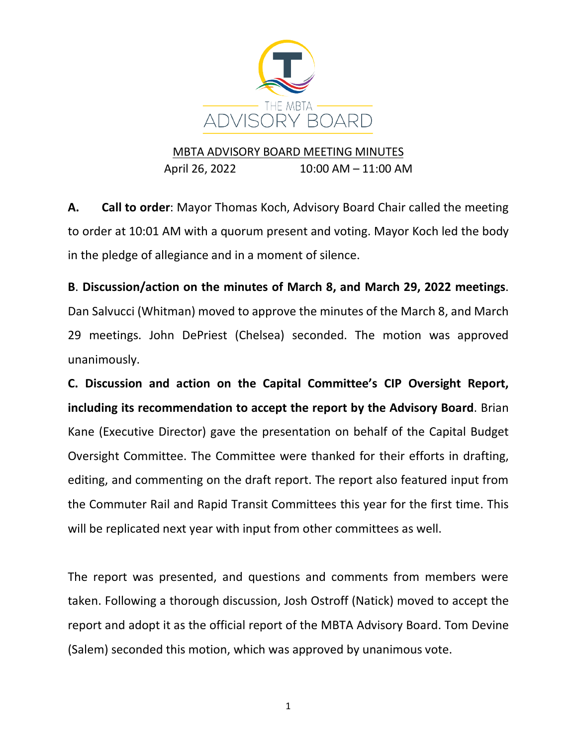

## MBTA ADVISORY BOARD MEETING MINUTES April 26, 2022 10:00 AM – 11:00 AM

**A. Call to order**: Mayor Thomas Koch, Advisory Board Chair called the meeting to order at 10:01 AM with a quorum present and voting. Mayor Koch led the body in the pledge of allegiance and in a moment of silence.

**B**. **Discussion/action on the minutes of March 8, and March 29, 2022 meetings**. Dan Salvucci (Whitman) moved to approve the minutes of the March 8, and March 29 meetings. John DePriest (Chelsea) seconded. The motion was approved unanimously.

**C. Discussion and action on the Capital Committee's CIP Oversight Report, including its recommendation to accept the report by the Advisory Board**. Brian Kane (Executive Director) gave the presentation on behalf of the Capital Budget Oversight Committee. The Committee were thanked for their efforts in drafting, editing, and commenting on the draft report. The report also featured input from the Commuter Rail and Rapid Transit Committees this year for the first time. This will be replicated next year with input from other committees as well.

The report was presented, and questions and comments from members were taken. Following a thorough discussion, Josh Ostroff (Natick) moved to accept the report and adopt it as the official report of the MBTA Advisory Board. Tom Devine (Salem) seconded this motion, which was approved by unanimous vote.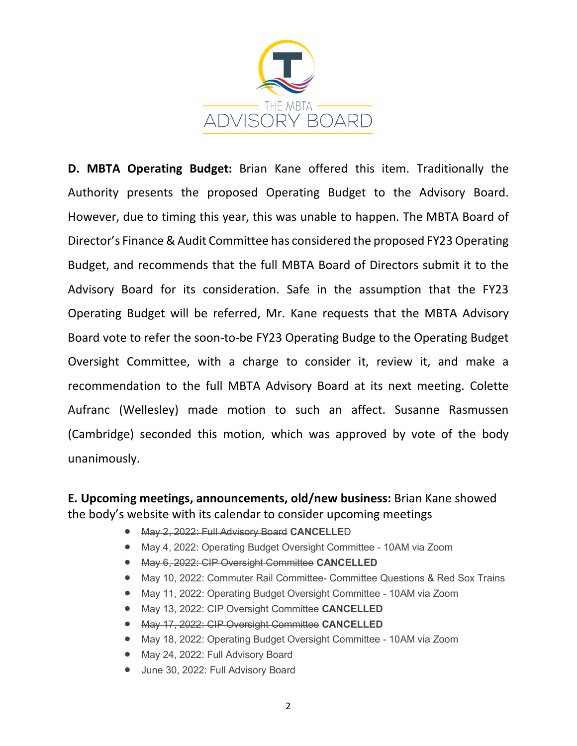

**D. MBTA Operating Budget:** Brian Kane offered this item. Traditionally the Authority presents the proposed Operating Budget to the Advisory Board. However, due to timing this year, this was unable to happen. The MBTA Board of Director's Finance & Audit Committee has considered the proposed FY23 Operating Budget, and recommends that the full MBTA Board of Directors submit it to the Advisory Board for its consideration. Safe in the assumption that the FY23 Operating Budget will be referred, Mr. Kane requests that the MBTA Advisory Board vote to refer the soon-to-be FY23 Operating Budge to the Operating Budget Oversight Committee, with a charge to consider it, review it, and make a recommendation to the full MBTA Advisory Board at its next meeting. Colette Aufranc (Wellesley) made motion to such an affect. Susanne Rasmussen (Cambridge) seconded this motion, which was approved by vote of the body unanimously.

**E. Upcoming meetings, announcements, old/new business:** Brian Kane showed the body's website with its calendar to consider upcoming meetings

- May 2, 2022: Full Advisory Board **CANCELLE**D
- May 4, 2022: Operating Budget Oversight Committee 10AM via Zoom
- May 6, 2022: CIP Oversight Committee **CANCELLED**
- May 10, 2022: Commuter Rail Committee- Committee Questions & Red Sox Trains
- May 11, 2022: Operating Budget Oversight Committee 10AM via Zoom
- May 13, 2022: CIP Oversight Committee **CANCELLED**
- May 17, 2022: CIP Oversight Committee **CANCELLED**
- May 18, 2022: Operating Budget Oversight Committee 10AM via Zoom
- May 24, 2022: Full Advisory Board
- June 30, 2022: Full Advisory Board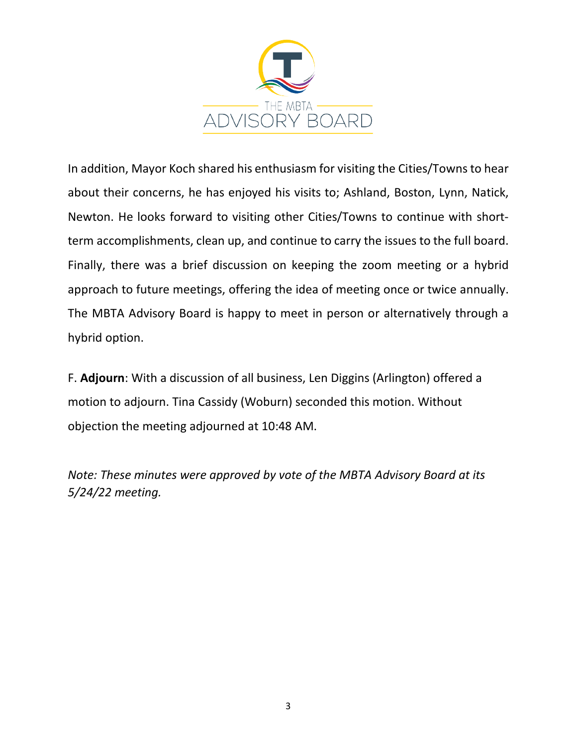

In addition, Mayor Koch shared his enthusiasm for visiting the Cities/Towns to hear about their concerns, he has enjoyed his visits to; Ashland, Boston, Lynn, Natick, Newton. He looks forward to visiting other Cities/Towns to continue with shortterm accomplishments, clean up, and continue to carry the issues to the full board. Finally, there was a brief discussion on keeping the zoom meeting or a hybrid approach to future meetings, offering the idea of meeting once or twice annually. The MBTA Advisory Board is happy to meet in person or alternatively through a hybrid option.

F. **Adjourn**: With a discussion of all business, Len Diggins (Arlington) offered a motion to adjourn. Tina Cassidy (Woburn) seconded this motion. Without objection the meeting adjourned at 10:48 AM.

*Note: These minutes were approved by vote of the MBTA Advisory Board at its 5/24/22 meeting.*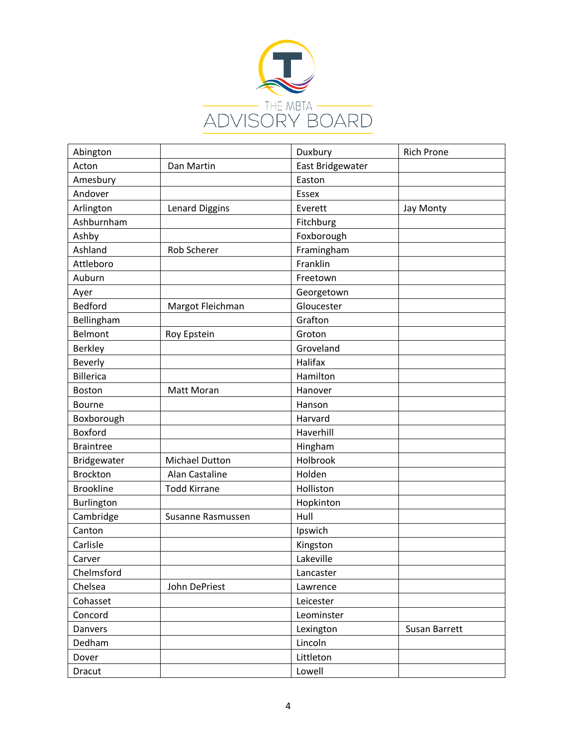

| Abington         |                     | Duxbury          | <b>Rich Prone</b> |
|------------------|---------------------|------------------|-------------------|
| Acton            | Dan Martin          | East Bridgewater |                   |
| Amesbury         |                     | Easton           |                   |
| Andover          |                     | <b>Essex</b>     |                   |
| Arlington        | Lenard Diggins      | Everett          | Jay Monty         |
| Ashburnham       |                     | Fitchburg        |                   |
| Ashby            |                     | Foxborough       |                   |
| Ashland          | Rob Scherer         | Framingham       |                   |
| Attleboro        |                     | Franklin         |                   |
| Auburn           |                     | Freetown         |                   |
| Ayer             |                     | Georgetown       |                   |
| Bedford          | Margot Fleichman    | Gloucester       |                   |
| Bellingham       |                     | Grafton          |                   |
| <b>Belmont</b>   | Roy Epstein         | Groton           |                   |
| <b>Berkley</b>   |                     | Groveland        |                   |
| Beverly          |                     | Halifax          |                   |
| <b>Billerica</b> |                     | Hamilton         |                   |
| Boston           | Matt Moran          | Hanover          |                   |
| Bourne           |                     | Hanson           |                   |
| Boxborough       |                     | Harvard          |                   |
| Boxford          |                     | Haverhill        |                   |
| <b>Braintree</b> |                     | Hingham          |                   |
| Bridgewater      | Michael Dutton      | Holbrook         |                   |
| <b>Brockton</b>  | Alan Castaline      | Holden           |                   |
| <b>Brookline</b> | <b>Todd Kirrane</b> | Holliston        |                   |
| Burlington       |                     | Hopkinton        |                   |
| Cambridge        | Susanne Rasmussen   | Hull             |                   |
| Canton           |                     | Ipswich          |                   |
| Carlisle         |                     | Kingston         |                   |
| Carver           |                     | Lakeville        |                   |
| Chelmsford       |                     | Lancaster        |                   |
| Chelsea          | John DePriest       | Lawrence         |                   |
| Cohasset         |                     | Leicester        |                   |
| Concord          |                     | Leominster       |                   |
| Danvers          |                     | Lexington        | Susan Barrett     |
| Dedham           |                     | Lincoln          |                   |
| Dover            |                     | Littleton        |                   |
| Dracut           |                     | Lowell           |                   |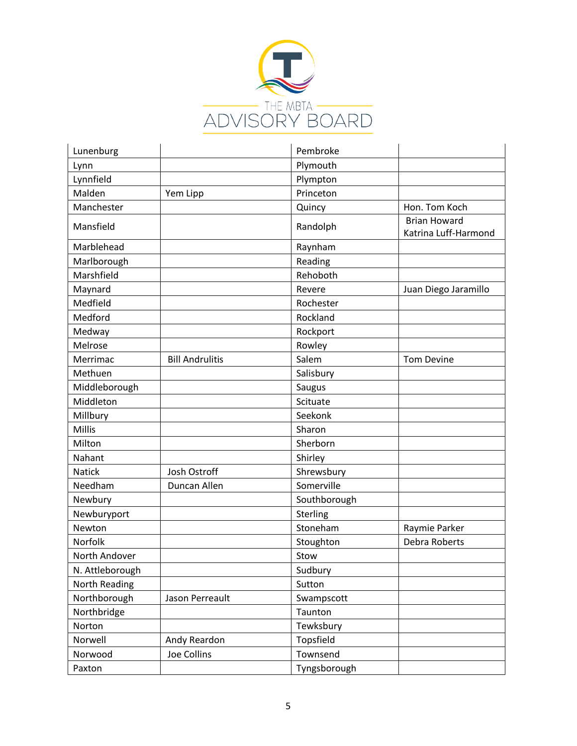

| Lunenburg       |                        | Pembroke     |                                             |
|-----------------|------------------------|--------------|---------------------------------------------|
| Lynn            |                        | Plymouth     |                                             |
| Lynnfield       |                        | Plympton     |                                             |
| Malden          | Yem Lipp               | Princeton    |                                             |
| Manchester      |                        | Quincy       | Hon. Tom Koch                               |
| Mansfield       |                        | Randolph     | <b>Brian Howard</b><br>Katrina Luff-Harmond |
| Marblehead      |                        | Raynham      |                                             |
| Marlborough     |                        | Reading      |                                             |
| Marshfield      |                        | Rehoboth     |                                             |
| Maynard         |                        | Revere       | Juan Diego Jaramillo                        |
| Medfield        |                        | Rochester    |                                             |
| Medford         |                        | Rockland     |                                             |
| Medway          |                        | Rockport     |                                             |
| Melrose         |                        | Rowley       |                                             |
| Merrimac        | <b>Bill Andrulitis</b> | Salem        | <b>Tom Devine</b>                           |
| Methuen         |                        | Salisbury    |                                             |
| Middleborough   |                        | Saugus       |                                             |
| Middleton       |                        | Scituate     |                                             |
| Millbury        |                        | Seekonk      |                                             |
| Millis          |                        | Sharon       |                                             |
| Milton          |                        | Sherborn     |                                             |
| Nahant          |                        | Shirley      |                                             |
| <b>Natick</b>   | Josh Ostroff           | Shrewsbury   |                                             |
| Needham         | Duncan Allen           | Somerville   |                                             |
| Newbury         |                        | Southborough |                                             |
| Newburyport     |                        | Sterling     |                                             |
| Newton          |                        | Stoneham     | Raymie Parker                               |
| Norfolk         |                        | Stoughton    | Debra Roberts                               |
| North Andover   |                        | Stow         |                                             |
| N. Attleborough |                        | Sudbury      |                                             |
| North Reading   |                        | Sutton       |                                             |
| Northborough    | Jason Perreault        | Swampscott   |                                             |
| Northbridge     |                        | Taunton      |                                             |
| Norton          |                        | Tewksbury    |                                             |
| Norwell         | Andy Reardon           | Topsfield    |                                             |
| Norwood         | Joe Collins            | Townsend     |                                             |
| Paxton          |                        | Tyngsborough |                                             |